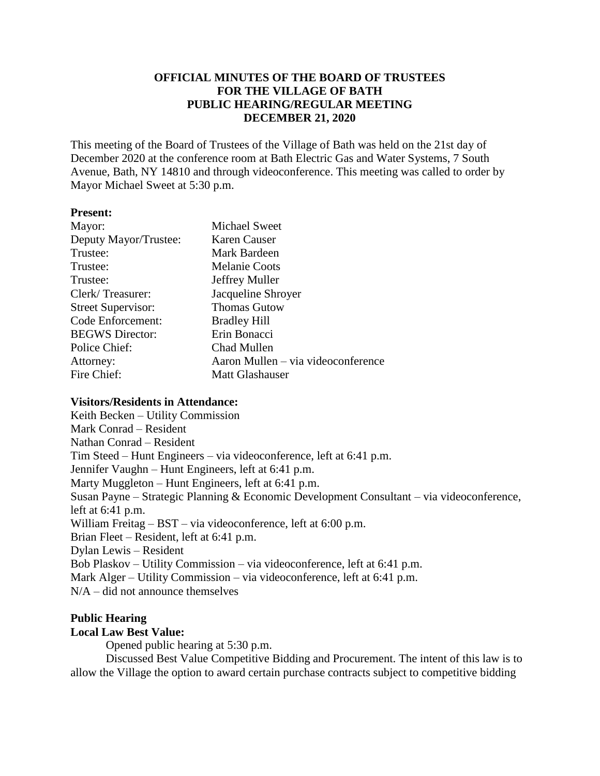# **OFFICIAL MINUTES OF THE BOARD OF TRUSTEES FOR THE VILLAGE OF BATH PUBLIC HEARING/REGULAR MEETING DECEMBER 21, 2020**

This meeting of the Board of Trustees of the Village of Bath was held on the 21st day of December 2020 at the conference room at Bath Electric Gas and Water Systems, 7 South Avenue, Bath, NY 14810 and through videoconference. This meeting was called to order by Mayor Michael Sweet at 5:30 p.m.

## **Present:**

| Mayor:                    | <b>Michael Sweet</b>               |
|---------------------------|------------------------------------|
| Deputy Mayor/Trustee:     | Karen Causer                       |
| Trustee:                  | Mark Bardeen                       |
| Trustee:                  | <b>Melanie Coots</b>               |
| Trustee:                  | Jeffrey Muller                     |
| Clerk/Treasurer:          | Jacqueline Shroyer                 |
| <b>Street Supervisor:</b> | <b>Thomas Gutow</b>                |
| Code Enforcement:         | <b>Bradley Hill</b>                |
| <b>BEGWS</b> Director:    | Erin Bonacci                       |
| Police Chief:             | Chad Mullen                        |
| Attorney:                 | Aaron Mullen – via videoconference |
| Fire Chief:               | <b>Matt Glashauser</b>             |

# **Visitors/Residents in Attendance:**

Keith Becken – Utility Commission Mark Conrad – Resident Nathan Conrad – Resident Tim Steed – Hunt Engineers – via videoconference, left at 6:41 p.m. Jennifer Vaughn – Hunt Engineers, left at 6:41 p.m. Marty Muggleton – Hunt Engineers, left at 6:41 p.m. Susan Payne – Strategic Planning & Economic Development Consultant – via videoconference, left at 6:41 p.m. William Freitag – BST – via videoconference, left at 6:00 p.m. Brian Fleet – Resident, left at 6:41 p.m. Dylan Lewis – Resident Bob Plaskov – Utility Commission – via videoconference, left at 6:41 p.m. Mark Alger – Utility Commission – via videoconference, left at 6:41 p.m. N/A – did not announce themselves

# **Public Hearing**

# **Local Law Best Value:**

Opened public hearing at 5:30 p.m.

Discussed Best Value Competitive Bidding and Procurement. The intent of this law is to allow the Village the option to award certain purchase contracts subject to competitive bidding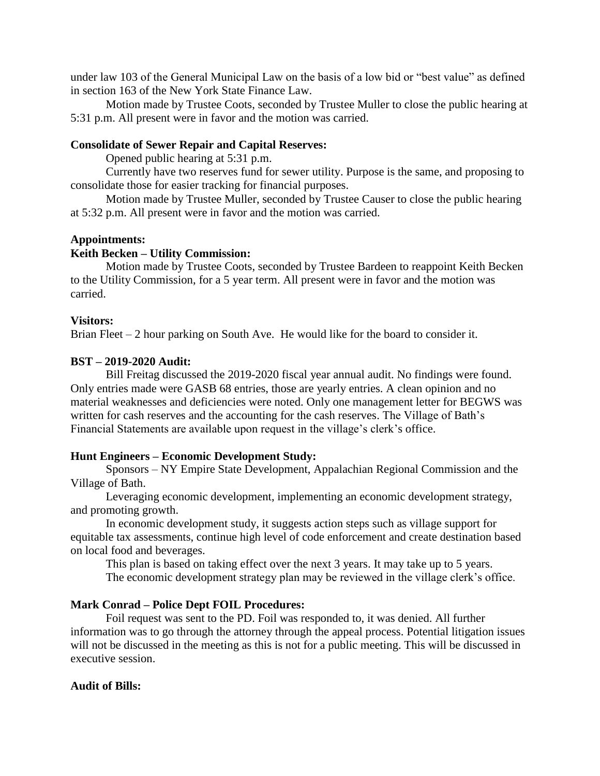under law 103 of the General Municipal Law on the basis of a low bid or "best value" as defined in section 163 of the New York State Finance Law.

Motion made by Trustee Coots, seconded by Trustee Muller to close the public hearing at 5:31 p.m. All present were in favor and the motion was carried.

## **Consolidate of Sewer Repair and Capital Reserves:**

Opened public hearing at 5:31 p.m.

Currently have two reserves fund for sewer utility. Purpose is the same, and proposing to consolidate those for easier tracking for financial purposes.

Motion made by Trustee Muller, seconded by Trustee Causer to close the public hearing at 5:32 p.m. All present were in favor and the motion was carried.

#### **Appointments:**

### **Keith Becken – Utility Commission:**

Motion made by Trustee Coots, seconded by Trustee Bardeen to reappoint Keith Becken to the Utility Commission, for a 5 year term. All present were in favor and the motion was carried.

### **Visitors:**

Brian Fleet – 2 hour parking on South Ave. He would like for the board to consider it.

## **BST – 2019-2020 Audit:**

Bill Freitag discussed the 2019-2020 fiscal year annual audit. No findings were found. Only entries made were GASB 68 entries, those are yearly entries. A clean opinion and no material weaknesses and deficiencies were noted. Only one management letter for BEGWS was written for cash reserves and the accounting for the cash reserves. The Village of Bath's Financial Statements are available upon request in the village's clerk's office.

### **Hunt Engineers – Economic Development Study:**

Sponsors – NY Empire State Development, Appalachian Regional Commission and the Village of Bath.

Leveraging economic development, implementing an economic development strategy, and promoting growth.

In economic development study, it suggests action steps such as village support for equitable tax assessments, continue high level of code enforcement and create destination based on local food and beverages.

This plan is based on taking effect over the next 3 years. It may take up to 5 years. The economic development strategy plan may be reviewed in the village clerk's office.

### **Mark Conrad – Police Dept FOIL Procedures:**

Foil request was sent to the PD. Foil was responded to, it was denied. All further information was to go through the attorney through the appeal process. Potential litigation issues will not be discussed in the meeting as this is not for a public meeting. This will be discussed in executive session.

### **Audit of Bills:**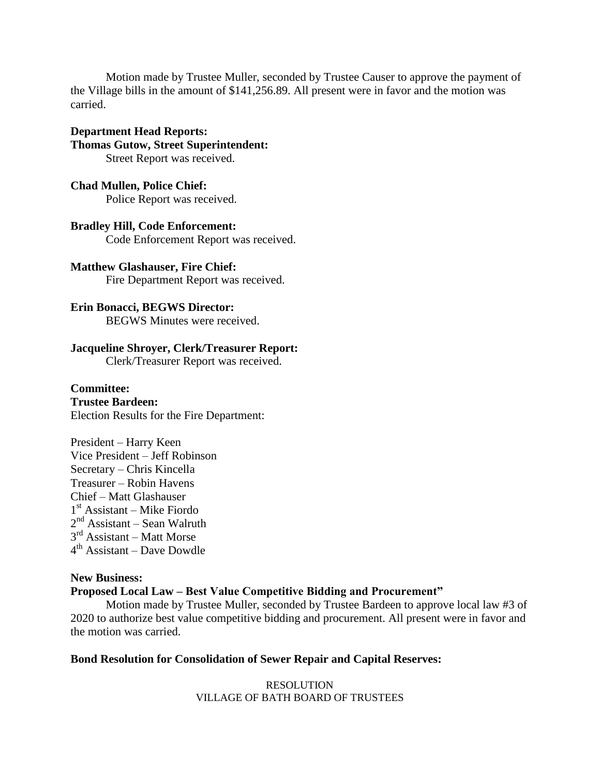Motion made by Trustee Muller, seconded by Trustee Causer to approve the payment of the Village bills in the amount of \$141,256.89. All present were in favor and the motion was carried.

## **Department Head Reports:**

**Thomas Gutow, Street Superintendent:** Street Report was received.

**Chad Mullen, Police Chief:** Police Report was received.

**Bradley Hill, Code Enforcement:** Code Enforcement Report was received.

**Matthew Glashauser, Fire Chief:** Fire Department Report was received.

**Erin Bonacci, BEGWS Director:** BEGWS Minutes were received.

# **Jacqueline Shroyer, Clerk/Treasurer Report:**

Clerk/Treasurer Report was received.

## **Committee:**

**Trustee Bardeen:** Election Results for the Fire Department:

President – Harry Keen Vice President – Jeff Robinson Secretary – Chris Kincella Treasurer – Robin Havens Chief – Matt Glashauser 1 st Assistant – Mike Fiordo 2<sup>nd</sup> Assistant – Sean Walruth 3<sup>rd</sup> Assistant – Matt Morse 4 th Assistant – Dave Dowdle

# **New Business: Proposed Local Law – Best Value Competitive Bidding and Procurement"**

Motion made by Trustee Muller, seconded by Trustee Bardeen to approve local law #3 of 2020 to authorize best value competitive bidding and procurement. All present were in favor and the motion was carried.

# **Bond Resolution for Consolidation of Sewer Repair and Capital Reserves:**

RESOLUTION VILLAGE OF BATH BOARD OF TRUSTEES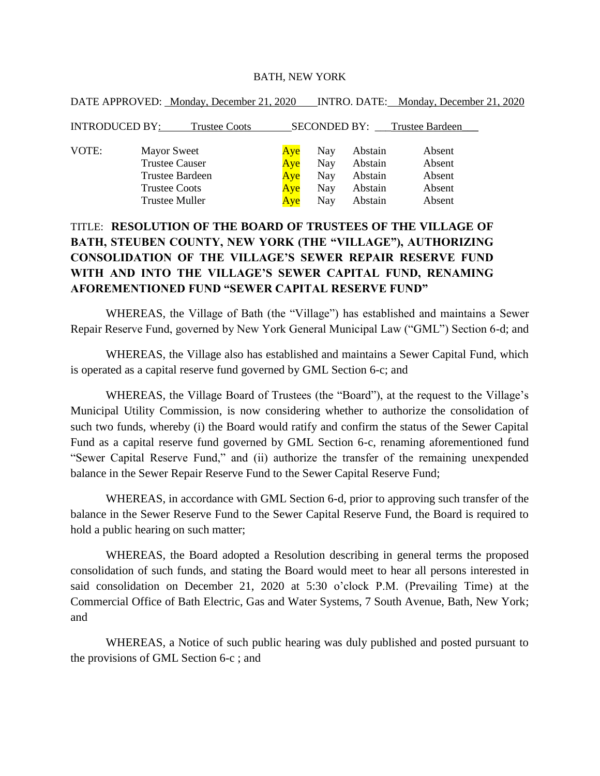### BATH, NEW YORK

| DATE APPROVED: Monday, December 21, 2020      |     |            |         | INTRO. DATE: Monday, December 21, 2020 |
|-----------------------------------------------|-----|------------|---------|----------------------------------------|
| <b>INTRODUCED BY:</b><br><b>Trustee Coots</b> |     |            |         | SECONDED BY: Trustee Bardeen           |
| VOTE:<br><b>Mayor Sweet</b>                   | Aye | Nay        | Abstain | Absent                                 |
| <b>Trustee Causer</b>                         | Aye | <b>Nay</b> | Abstain | Absent                                 |
| <b>Trustee Bardeen</b>                        | Aye | Nay        | Abstain | Absent                                 |
| <b>Trustee Coots</b>                          | Aye | Nay        | Abstain | Absent                                 |
| <b>Trustee Muller</b>                         | Aye | Nay        | Abstain | Absent                                 |

# TITLE: **RESOLUTION OF THE BOARD OF TRUSTEES OF THE VILLAGE OF BATH, STEUBEN COUNTY, NEW YORK (THE "VILLAGE"), AUTHORIZING CONSOLIDATION OF THE VILLAGE'S SEWER REPAIR RESERVE FUND WITH AND INTO THE VILLAGE'S SEWER CAPITAL FUND, RENAMING AFOREMENTIONED FUND "SEWER CAPITAL RESERVE FUND"**

WHEREAS, the Village of Bath (the "Village") has established and maintains a Sewer Repair Reserve Fund, governed by New York General Municipal Law ("GML") Section 6-d; and

WHEREAS, the Village also has established and maintains a Sewer Capital Fund, which is operated as a capital reserve fund governed by GML Section 6-c; and

WHEREAS, the Village Board of Trustees (the "Board"), at the request to the Village's Municipal Utility Commission, is now considering whether to authorize the consolidation of such two funds, whereby (i) the Board would ratify and confirm the status of the Sewer Capital Fund as a capital reserve fund governed by GML Section 6-c, renaming aforementioned fund "Sewer Capital Reserve Fund," and (ii) authorize the transfer of the remaining unexpended balance in the Sewer Repair Reserve Fund to the Sewer Capital Reserve Fund;

WHEREAS, in accordance with GML Section 6-d, prior to approving such transfer of the balance in the Sewer Reserve Fund to the Sewer Capital Reserve Fund, the Board is required to hold a public hearing on such matter;

WHEREAS, the Board adopted a Resolution describing in general terms the proposed consolidation of such funds, and stating the Board would meet to hear all persons interested in said consolidation on December 21, 2020 at 5:30 o'clock P.M. (Prevailing Time) at the Commercial Office of Bath Electric, Gas and Water Systems, 7 South Avenue, Bath, New York; and

WHEREAS, a Notice of such public hearing was duly published and posted pursuant to the provisions of GML Section 6-c ; and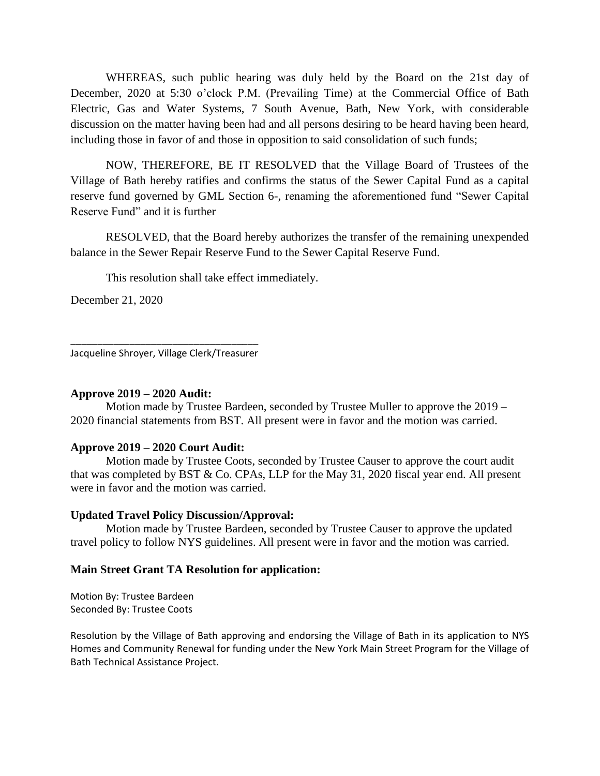WHEREAS, such public hearing was duly held by the Board on the 21st day of December, 2020 at 5:30 o'clock P.M. (Prevailing Time) at the Commercial Office of Bath Electric, Gas and Water Systems, 7 South Avenue, Bath, New York, with considerable discussion on the matter having been had and all persons desiring to be heard having been heard, including those in favor of and those in opposition to said consolidation of such funds;

NOW, THEREFORE, BE IT RESOLVED that the Village Board of Trustees of the Village of Bath hereby ratifies and confirms the status of the Sewer Capital Fund as a capital reserve fund governed by GML Section 6-, renaming the aforementioned fund "Sewer Capital Reserve Fund" and it is further

RESOLVED, that the Board hereby authorizes the transfer of the remaining unexpended balance in the Sewer Repair Reserve Fund to the Sewer Capital Reserve Fund.

This resolution shall take effect immediately.

December 21, 2020

\_\_\_\_\_\_\_\_\_\_\_\_\_\_\_\_\_\_\_\_\_\_\_\_\_\_\_\_\_\_\_\_\_\_\_ Jacqueline Shroyer, Village Clerk/Treasurer

## **Approve 2019 – 2020 Audit:**

Motion made by Trustee Bardeen, seconded by Trustee Muller to approve the 2019 – 2020 financial statements from BST. All present were in favor and the motion was carried.

# **Approve 2019 – 2020 Court Audit:**

Motion made by Trustee Coots, seconded by Trustee Causer to approve the court audit that was completed by BST & Co. CPAs, LLP for the May 31, 2020 fiscal year end. All present were in favor and the motion was carried.

# **Updated Travel Policy Discussion/Approval:**

Motion made by Trustee Bardeen, seconded by Trustee Causer to approve the updated travel policy to follow NYS guidelines. All present were in favor and the motion was carried.

### **Main Street Grant TA Resolution for application:**

Motion By: Trustee Bardeen Seconded By: Trustee Coots

Resolution by the Village of Bath approving and endorsing the Village of Bath in its application to NYS Homes and Community Renewal for funding under the New York Main Street Program for the Village of Bath Technical Assistance Project.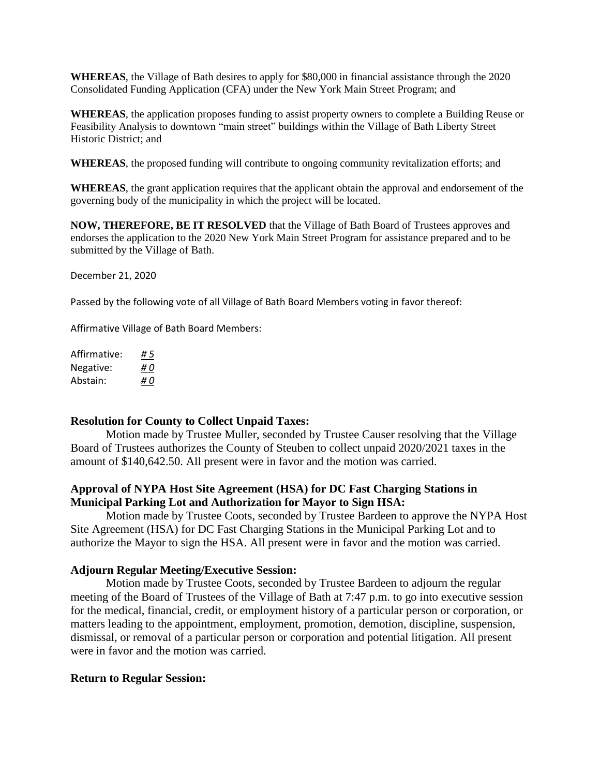**WHEREAS**, the Village of Bath desires to apply for \$80,000 in financial assistance through the 2020 Consolidated Funding Application (CFA) under the New York Main Street Program; and

**WHEREAS**, the application proposes funding to assist property owners to complete a Building Reuse or Feasibility Analysis to downtown "main street" buildings within the Village of Bath Liberty Street Historic District; and

**WHEREAS**, the proposed funding will contribute to ongoing community revitalization efforts; and

**WHEREAS**, the grant application requires that the applicant obtain the approval and endorsement of the governing body of the municipality in which the project will be located.

**NOW, THEREFORE, BE IT RESOLVED** that the Village of Bath Board of Trustees approves and endorses the application to the 2020 New York Main Street Program for assistance prepared and to be submitted by the Village of Bath.

December 21, 2020

Passed by the following vote of all Village of Bath Board Members voting in favor thereof:

Affirmative Village of Bath Board Members:

| Affirmative: | #5  |
|--------------|-----|
| Negative:    | # O |
| Abstain:     | #0  |

### **Resolution for County to Collect Unpaid Taxes:**

Motion made by Trustee Muller, seconded by Trustee Causer resolving that the Village Board of Trustees authorizes the County of Steuben to collect unpaid 2020/2021 taxes in the amount of \$140,642.50. All present were in favor and the motion was carried.

## **Approval of NYPA Host Site Agreement (HSA) for DC Fast Charging Stations in Municipal Parking Lot and Authorization for Mayor to Sign HSA:**

Motion made by Trustee Coots, seconded by Trustee Bardeen to approve the NYPA Host Site Agreement (HSA) for DC Fast Charging Stations in the Municipal Parking Lot and to authorize the Mayor to sign the HSA. All present were in favor and the motion was carried.

### **Adjourn Regular Meeting/Executive Session:**

Motion made by Trustee Coots, seconded by Trustee Bardeen to adjourn the regular meeting of the Board of Trustees of the Village of Bath at 7:47 p.m. to go into executive session for the medical, financial, credit, or employment history of a particular person or corporation, or matters leading to the appointment, employment, promotion, demotion, discipline, suspension, dismissal, or removal of a particular person or corporation and potential litigation. All present were in favor and the motion was carried.

### **Return to Regular Session:**